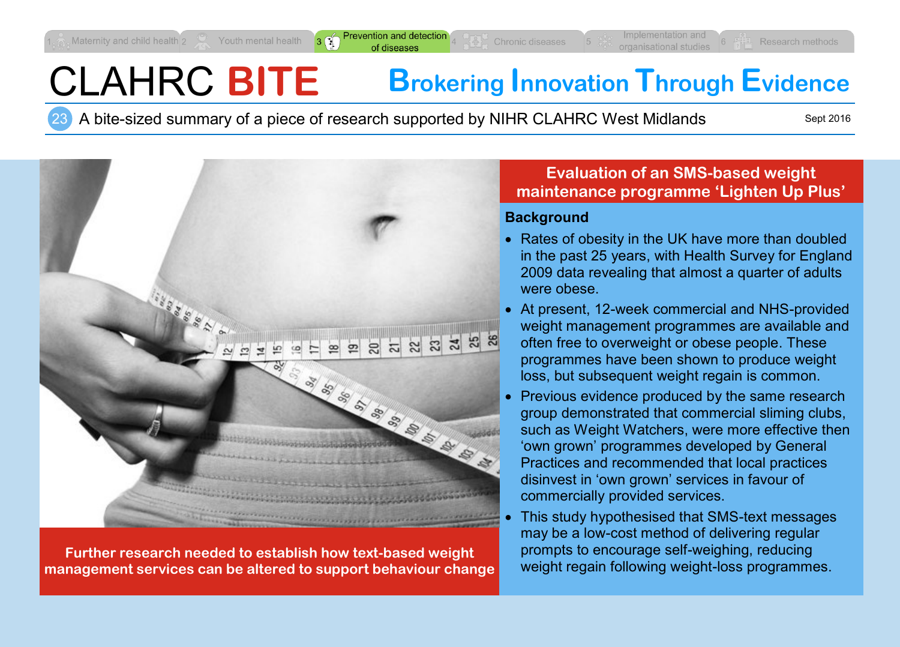$3 \n\mathbb{C}$ 

# CLAHRC **BITE Brokering Innovation Through Evidence**

A bite-sized summary of a piece of research supported by NIHR CLAHRC West Midlands

Sept 2016



**Further research needed to establish how text-based weight management services can be altered to support behaviour change**

#### **Evaluation of an SMS-based weight maintenance programme 'Lighten Up Plus'**

#### **Background**

- Rates of obesity in the UK have more than doubled in the past 25 years, with Health Survey for England 2009 data revealing that almost a quarter of adults were obese.
- At present, 12-week commercial and NHS-provided weight management programmes are available and often free to overweight or obese people. These programmes have been shown to produce weight loss, but subsequent weight regain is common.
- Previous evidence produced by the same research group demonstrated that commercial sliming clubs, such as Weight Watchers, were more effective then 'own grown' programmes developed by General Practices and recommended that local practices disinvest in 'own grown' services in favour of commercially provided services.
- This study hypothesised that SMS-text messages may be a low-cost method of delivering regular prompts to encourage self-weighing, reducing weight regain following weight-loss programmes.